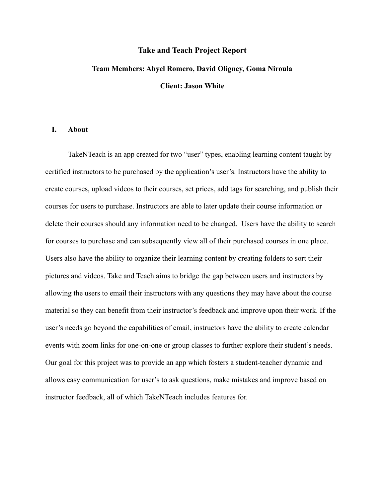## **Take and Teach Project Report**

### **Team Members: Abyel Romero, David Oligney, Goma Niroula**

**Client: Jason White**

## **I. About**

TakeNTeach is an app created for two "user" types, enabling learning content taught by certified instructors to be purchased by the application's user's. Instructors have the ability to create courses, upload videos to their courses, set prices, add tags for searching, and publish their courses for users to purchase. Instructors are able to later update their course information or delete their courses should any information need to be changed. Users have the ability to search for courses to purchase and can subsequently view all of their purchased courses in one place. Users also have the ability to organize their learning content by creating folders to sort their pictures and videos. Take and Teach aims to bridge the gap between users and instructors by allowing the users to email their instructors with any questions they may have about the course material so they can benefit from their instructor's feedback and improve upon their work. If the user's needs go beyond the capabilities of email, instructors have the ability to create calendar events with zoom links for one-on-one or group classes to further explore their student's needs. Our goal for this project was to provide an app which fosters a student-teacher dynamic and allows easy communication for user's to ask questions, make mistakes and improve based on instructor feedback, all of which TakeNTeach includes features for.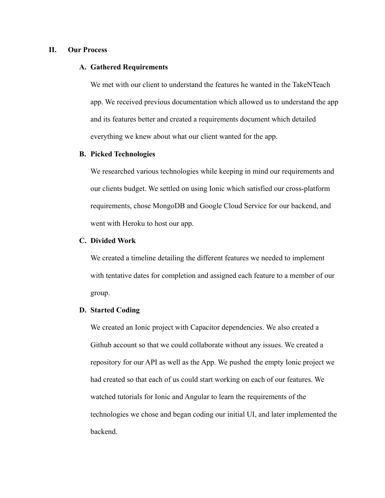# **II. Our Process**

## **A. Gathered Requirements**

We met with our client to understand the features he wanted in the TakeNTeach app. We received previous documentation which allowed us to understand the app and its features better and created a requirements document which detailed everything we knew about what our client wanted for the app.

## **B. Picked Technologies**

We researched various technologies while keeping in mind our requirements and our clients budget. We settled on using Ionic which satisfied our cross-platform requirements, chose MongoDB and Google Cloud Service for our backend, and went with Heroku to host our app.

## **C. Divided Work**

We created a timeline detailing the different features we needed to implement with tentative dates for completion and assigned each feature to a member of our group.

#### **D. Started Coding**

We created an Ionic project with Capacitor dependencies. We also created a Github account so that we could collaborate without any issues. We created a repository for our API as well as the App. We pushed the empty Ionic project we had created so that each of us could start working on each of our features. We watched tutorials for Ionic and Angular to learn the requirements of the technologies we chose and began coding our initial UI, and later implemented the backend.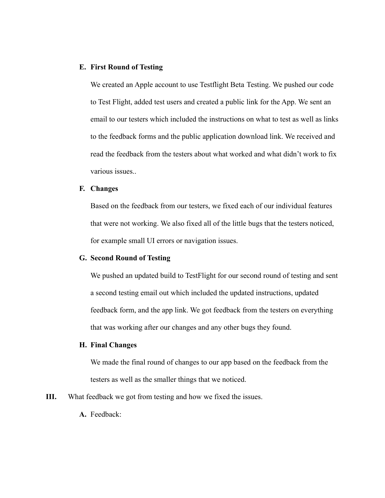# **E. First Round of Testing**

We created an Apple account to use Testflight Beta Testing. We pushed our code to Test Flight, added test users and created a public link for the App. We sent an email to our testers which included the instructions on what to test as well as links to the feedback forms and the public application download link. We received and read the feedback from the testers about what worked and what didn't work to fix various issues..

# **F. Changes**

Based on the feedback from our testers, we fixed each of our individual features that were not working. We also fixed all of the little bugs that the testers noticed, for example small UI errors or navigation issues.

## **G. Second Round of Testing**

We pushed an updated build to TestFlight for our second round of testing and sent a second testing email out which included the updated instructions, updated feedback form, and the app link. We got feedback from the testers on everything that was working after our changes and any other bugs they found.

## **H. Final Changes**

We made the final round of changes to our app based on the feedback from the testers as well as the smaller things that we noticed.

- **III.** What feedback we got from testing and how we fixed the issues.
	- **A.** Feedback: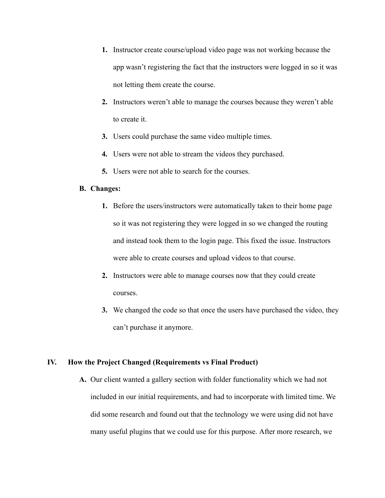- **1.** Instructor create course/upload video page was not working because the app wasn't registering the fact that the instructors were logged in so it was not letting them create the course.
- **2.** Instructors weren't able to manage the courses because they weren't able to create it.
- **3.** Users could purchase the same video multiple times.
- **4.** Users were not able to stream the videos they purchased.
- **5.** Users were not able to search for the courses.

## **B. Changes:**

- **1.** Before the users/instructors were automatically taken to their home page so it was not registering they were logged in so we changed the routing and instead took them to the login page. This fixed the issue. Instructors were able to create courses and upload videos to that course.
- **2.** Instructors were able to manage courses now that they could create courses.
- **3.** We changed the code so that once the users have purchased the video, they can't purchase it anymore.

## **IV. How the Project Changed (Requirements vs Final Product)**

**A.** Our client wanted a gallery section with folder functionality which we had not included in our initial requirements, and had to incorporate with limited time. We did some research and found out that the technology we were using did not have many useful plugins that we could use for this purpose. After more research, we